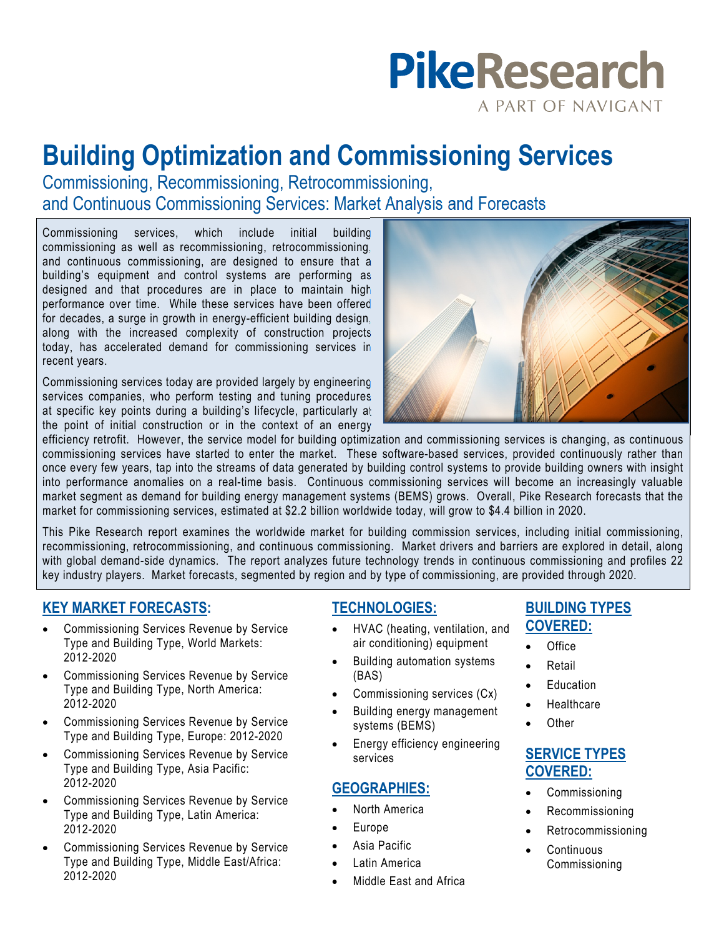# **PikeResearch** A PART OF NAVIGANT

# **Building Optimization and Commissioning Services**

Commissioning, Recommissioning, Retrocommissioning, and Continuous Commissioning Services: Market Analysis and Forecasts

Commissioning services, which include initial building commissioning as well as recommissioning, retrocommissioning, and continuous commissioning, are designed to ensure that a building's equipment and control systems are performing as designed and that procedures are in place to maintain high performance over time. While these services have been offered for decades, a surge in growth in energy-efficient building design, along with the increased complexity of construction projects today, has accelerated demand for commissioning services in recent years.

Commissioning services today are provided largely by engineering services companies, who perform testing and tuning procedures at specific key points during a building's lifecycle, particularly at the point of initial construction or in the context of an energy



efficiency retrofit. However, the service model for building optimization and commissioning services is changing, as continuous commissioning services have started to enter the market. These software-based services, provided continuously rather than once every few years, tap into the streams of data generated by building control systems to provide building owners with insight into performance anomalies on a real-time basis. Continuous commissioning services will become an increasingly valuable market segment as demand for building energy management systems (BEMS) grows. Overall, Pike Research forecasts that the market for commissioning services, estimated at \$2.2 billion worldwide today, will grow to \$4.4 billion in 2020.

This Pike Research report examines the worldwide market for building commission services, including initial commissioning, recommissioning, retrocommissioning, and continuous commissioning. Market drivers and barriers are explored in detail, along with global demand-side dynamics. The report analyzes future technology trends in continuous commissioning and profiles 22 key industry players. Market forecasts, segmented by region and by type of commissioning, are provided through 2020.

# **KEY MARKET FORECASTS:**

- Commissioning Services Revenue by Service Type and Building Type, World Markets: 2012-2020
- Commissioning Services Revenue by Service Type and Building Type, North America: 2012-2020
- Commissioning Services Revenue by Service Type and Building Type, Europe: 2012-2020
- Commissioning Services Revenue by Service Type and Building Type, Asia Pacific: 2012-2020
- Commissioning Services Revenue by Service Type and Building Type, Latin America: 2012-2020
- Commissioning Services Revenue by Service Type and Building Type, Middle East/Africa: 2012-2020

## **TECHNOLOGIES:**

- HVAC (heating, ventilation, and air conditioning) equipment
- Building automation systems (BAS)
- Commissioning services (Cx)
- Building energy management systems (BEMS)
- Energy efficiency engineering services

### **GEOGRAPHIES:**

- North America
- Europe
- Asia Pacific
- Latin America
- Middle East and Africa

## **BUILDING TYPES COVERED:**

- Office
- Retail
- Education
- **Healthcare**
- **Other**

# **SERVICE TYPES COVERED:**

- Commissioning
- Recommissioning
- Retrocommissioning
- **Continuous** Commissioning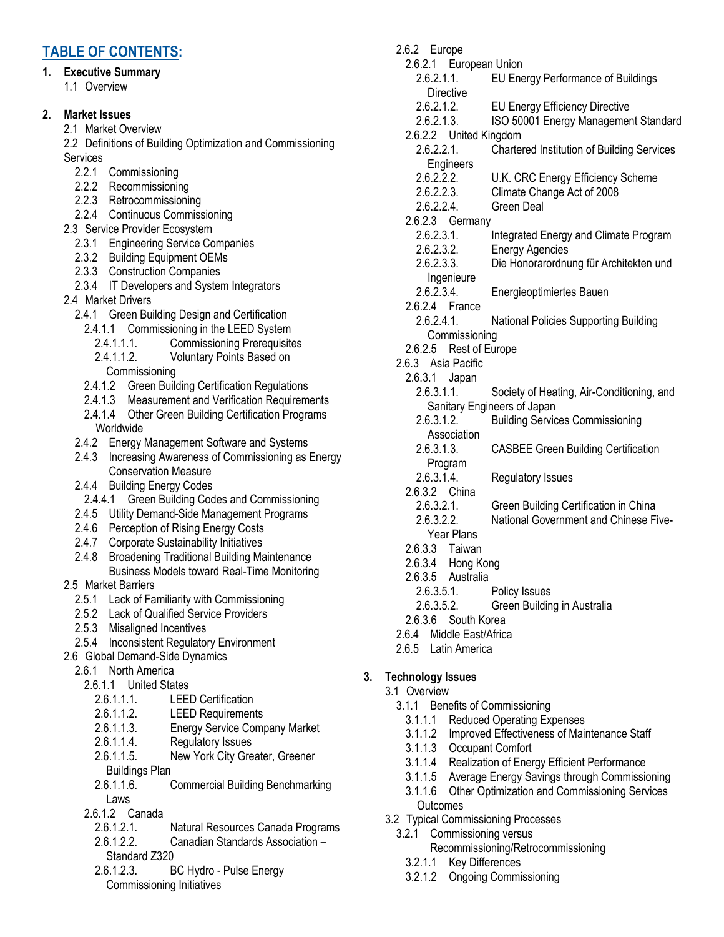# **TABLE OF CONTENTS:**

# **1. Executive Summary**

1.1 Overview

# **2. Market Issues**

- 2.1 Market Overview
- 2.2 Definitions of Building Optimization and Commissioning **Services** 
	- 2.2.1 Commissioning
	- 2.2.2 Recommissioning
	- 2.2.3 Retrocommissioning
	- 2.2.4 Continuous Commissioning
- 2.3 Service Provider Ecosystem
	- 2.3.1 Engineering Service Companies
	- 2.3.2 Building Equipment OEMs
	- 2.3.3 Construction Companies
	- 2.3.4 IT Developers and System Integrators
- 2.4 Market Drivers
	- 2.4.1 Green Building Design and Certification
		- 2.4.1.1 Commissioning in the LEED System
			- 2.4.1.1.1. Commissioning Prerequisites
			- 2.4.1.1.2. Voluntary Points Based on Commissioning
		- 2.4.1.2 Green Building Certification Regulations
	- 2.4.1.3 Measurement and Verification Requirements 2.4.1.4 Other Green Building Certification Programs Worldwide
	- 2.4.2 Energy Management Software and Systems
	- 2.4.3 Increasing Awareness of Commissioning as Energy Conservation Measure
	- 2.4.4 Building Energy Codes
	- 2.4.4.1 Green Building Codes and Commissioning
	- 2.4.5 Utility Demand-Side Management Programs
	- 2.4.6 Perception of Rising Energy Costs
	- 2.4.7 Corporate Sustainability Initiatives
	- 2.4.8 Broadening Traditional Building Maintenance Business Models toward Real-Time Monitoring
- 2.5 Market Barriers
	- 2.5.1 Lack of Familiarity with Commissioning
	- 2.5.2 Lack of Qualified Service Providers
	- 2.5.3 Misaligned Incentives
	- 2.5.4 Inconsistent Regulatory Environment
- 2.6 Global Demand-Side Dynamics
	- 2.6.1 North America
		- 2.6.1.1 United States
			- 2.6.1.1.1. LEED Certification
			- 2.6.1.1.2. LEED Requirements
			- 2.6.1.1.3. Energy Service Company Market
			- 2.6.1.1.4. Regulatory Issues
			- 2.6.1.1.5. New York City Greater, Greener Buildings Plan
			- 2.6.1.1.6. Commercial Building Benchmarking Laws
		- 2.6.1.2 Canada
			- 2.6.1.2.1. Natural Resources Canada Programs
			- 2.6.1.2.2. Canadian Standards Association Standard Z320
			- 2.6.1.2.3. BC Hydro Pulse Energy Commissioning Initiatives
- 2.6.2 Europe 2.6.2.1 European Union 2.6.2.1.1. EU Energy Performance of Buildings Directive 2.6.2.1.2. EU Energy Efficiency Directive 2.6.2.1.3. ISO 50001 Energy Management Standard 2.6.2.2 United Kingdom 2.6.2.2.1. Chartered Institution of Building Services **Engineers** 2.6.2.2.2. U.K. CRC Energy Efficiency Scheme 2.6.2.2.3. Climate Change Act of 2008 2.6.2.2.4. Green Deal 2.6.2.3 Germany 2.6.2.3.1. Integrated Energy and Climate Program 2.6.2.3.2. Energy Agencies 2.6.2.3.3. Die Honorarordnung für Architekten und Ingenieure 2.6.2.3.4. Energieoptimiertes Bauen 2.6.2.4 France 2.6.2.4.1. National Policies Supporting Building Commissioning 2.6.2.5 Rest of Europe 2.6.3 Asia Pacific 2.6.3.1 Japan 2.6.3.1.1. Society of Heating, Air-Conditioning, and Sanitary Engineers of Japan 2.6.3.1.2. Building Services Commissioning **Association** 2.6.3.1.3. CASBEE Green Building Certification Program 2.6.3.1.4. Regulatory Issues 2.6.3.2 China 2.6.3.2.1. Green Building Certification in China
	- 2.6.3.2.2. National Government and Chinese Five-
	- Year Plans 2.6.3.3 Taiwan
	- 2.6.3.4 Hong Kong
	- 2.6.3.5 Australia
		-
		- 2.6.3.5.1. Policy Issues<br>2.6.3.5.2. Green Buildin **Green Building in Australia**
	- 2.6.3.6 South Korea
- 2.6.4 Middle East/Africa
- 2.6.5 Latin America

# **3. Technology Issues**

- 3.1 Overview
	- 3.1.1 Benefits of Commissioning
		- 3.1.1.1 Reduced Operating Expenses
		- 3.1.1.2 Improved Effectiveness of Maintenance Staff
		- 3.1.1.3 Occupant Comfort
		- 3.1.1.4 Realization of Energy Efficient Performance
		- 3.1.1.5 Average Energy Savings through Commissioning
		- 3.1.1.6 Other Optimization and Commissioning Services **Outcomes**
- 3.2 Typical Commissioning Processes
	- 3.2.1 Commissioning versus
		- Recommissioning/Retrocommissioning
		- 3.2.1.1 Key Differences
		- 3.2.1.2 Ongoing Commissioning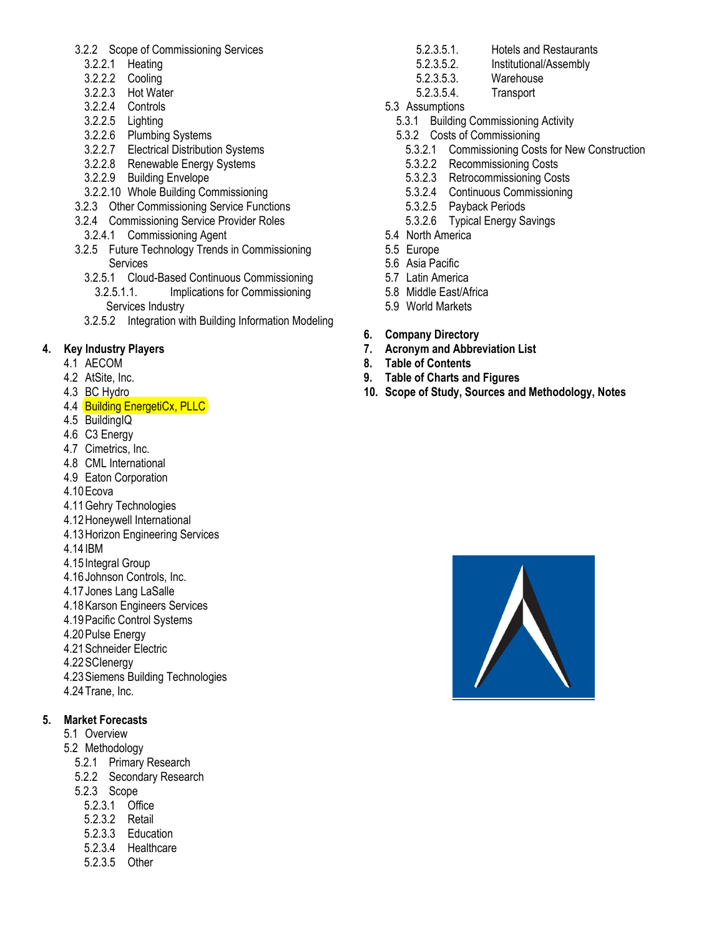- 3.2.2 Scope of Commissioning Services
	- 3.2.2.1 Heating
	- 3.2.2.2 Cooling
	- 3.2.2.3 Hot Water
	- 3.2.2.4 Controls
	- 3.2.2.5 Lighting
	- 3.2.2.6 Plumbing Systems
	- 3.2.2.7 Electrical Distribution Systems
	- 3.2.2.8 Renewable Energy Systems
	- 3.2.2.9 Building Envelope
- 3.2.2.10 Whole Building Commissioning
- 3.2.3 Other Commissioning Service Functions
- 3.2.4 Commissioning Service Provider Roles
- 3.2.4.1 Commissioning Agent
- 3.2.5 Future Technology Trends in Commissioning **Services** 
	- 3.2.5.1 Cloud-Based Continuous Commissioning 3.2.5.1.1. Implications for Commissioning Services Industry
	- 3.2.5.2 Integration with Building Information Modeling

## **4. Key Industry Players**

- 4.1 AECOM
- 4.2 AtSite, Inc.
- 4.3 BC Hydro
- 4.4 Building EnergetiCx, PLLC
- 4.5 BuildingIQ
- 4.6 C3 Energy
- 4.7 Cimetrics, Inc.
- 4.8 CML International
- 4.9 Eaton Corporation
- 4.10 Ecova
- 4.11 Gehry Technologies
- 4.12 Honeywell International
- 4.13 Horizon Engineering Services
- 4.14 IBM
- 4.15 Integral Group
- 4.16 Johnson Controls, Inc.
- 4.17 Jones Lang LaSalle
- 4.18 Karson Engineers Services
- 4.19 Pacific Control Systems
- 4.20 Pulse Energy
- 4.21 Schneider Electric
- 4.22 SCIenergy
- 4.23 Siemens Building Technologies
- 4.24 Trane, Inc.

### **5. Market Forecasts**

- 5.1 Overview
- 5.2 Methodology
	- 5.2.1 Primary Research
	- 5.2.2 Secondary Research
	- 5.2.3 Scope
		- 5.2.3.1 Office
		- 5.2.3.2 Retail
		- 5.2.3.3 Education
		- 5.2.3.4 Healthcare
		- 5.2.3.5 Other
- 5.2.3.5.1. Hotels and Restaurants
- 5.2.3.5.2. Institutional/Assembly
- 5.2.3.5.3. Warehouse
- 5.2.3.5.4. Transport
- 5.3 Assumptions
	- 5.3.1 Building Commissioning Activity
	- 5.3.2 Costs of Commissioning
		- 5.3.2.1 Commissioning Costs for New Construction
		- 5.3.2.2 Recommissioning Costs
		- 5.3.2.3 Retrocommissioning Costs
		- 5.3.2.4 Continuous Commissioning
		- 5.3.2.5 Payback Periods
		- 5.3.2.6 Typical Energy Savings
- 5.4 North America
- 5.5 Europe
- 5.6 Asia Pacific
- 5.7 Latin America
- 5.8 Middle East/Africa
- 5.9 World Markets
- **6. Company Directory**
- **7. Acronym and Abbreviation List**
- **8. Table of Contents**
- **9. Table of Charts and Figures**
- **10. Scope of Study, Sources and Methodology, Notes**

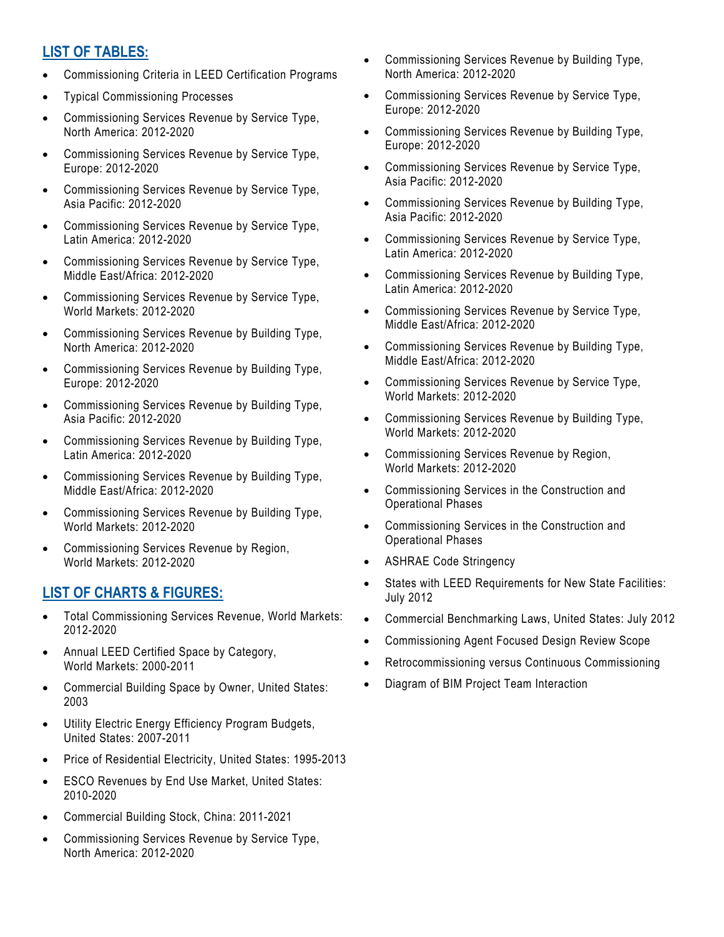## **LIST OF TABLES:**

- Commissioning Criteria in LEED Certification Programs
- Typical Commissioning Processes
- Commissioning Services Revenue by Service Type, North America: 2012-2020
- Commissioning Services Revenue by Service Type, Europe: 2012-2020
- Commissioning Services Revenue by Service Type, Asia Pacific: 2012-2020
- Commissioning Services Revenue by Service Type, Latin America: 2012-2020
- Commissioning Services Revenue by Service Type, Middle East/Africa: 2012-2020
- Commissioning Services Revenue by Service Type, World Markets: 2012-2020
- Commissioning Services Revenue by Building Type, North America: 2012-2020
- Commissioning Services Revenue by Building Type, Europe: 2012-2020
- Commissioning Services Revenue by Building Type, Asia Pacific: 2012-2020
- Commissioning Services Revenue by Building Type, Latin America: 2012-2020
- Commissioning Services Revenue by Building Type, Middle East/Africa: 2012-2020
- Commissioning Services Revenue by Building Type, World Markets: 2012-2020
- Commissioning Services Revenue by Region, World Markets: 2012-2020

# **LIST OF CHARTS & FIGURES:**

- Total Commissioning Services Revenue, World Markets: 2012-2020
- Annual LEED Certified Space by Category, World Markets: 2000-2011
- Commercial Building Space by Owner, United States: 2003
- Utility Electric Energy Efficiency Program Budgets, United States: 2007-2011
- Price of Residential Electricity, United States: 1995-2013
- ESCO Revenues by End Use Market, United States: 2010-2020
- Commercial Building Stock, China: 2011-2021
- Commissioning Services Revenue by Service Type, North America: 2012-2020
- Commissioning Services Revenue by Building Type, North America: 2012-2020
- Commissioning Services Revenue by Service Type, Europe: 2012-2020
- Commissioning Services Revenue by Building Type, Europe: 2012-2020
- Commissioning Services Revenue by Service Type, Asia Pacific: 2012-2020
- Commissioning Services Revenue by Building Type, Asia Pacific: 2012-2020
- Commissioning Services Revenue by Service Type, Latin America: 2012-2020
- Commissioning Services Revenue by Building Type, Latin America: 2012-2020
- Commissioning Services Revenue by Service Type, Middle East/Africa: 2012-2020
- Commissioning Services Revenue by Building Type, Middle East/Africa: 2012-2020
- Commissioning Services Revenue by Service Type, World Markets: 2012-2020
- Commissioning Services Revenue by Building Type, World Markets: 2012-2020
- Commissioning Services Revenue by Region, World Markets: 2012-2020
- Commissioning Services in the Construction and Operational Phases
- Commissioning Services in the Construction and Operational Phases
- ASHRAE Code Stringency
- States with LEED Requirements for New State Facilities: July 2012
- Commercial Benchmarking Laws, United States: July 2012
- Commissioning Agent Focused Design Review Scope
- Retrocommissioning versus Continuous Commissioning
- Diagram of BIM Project Team Interaction